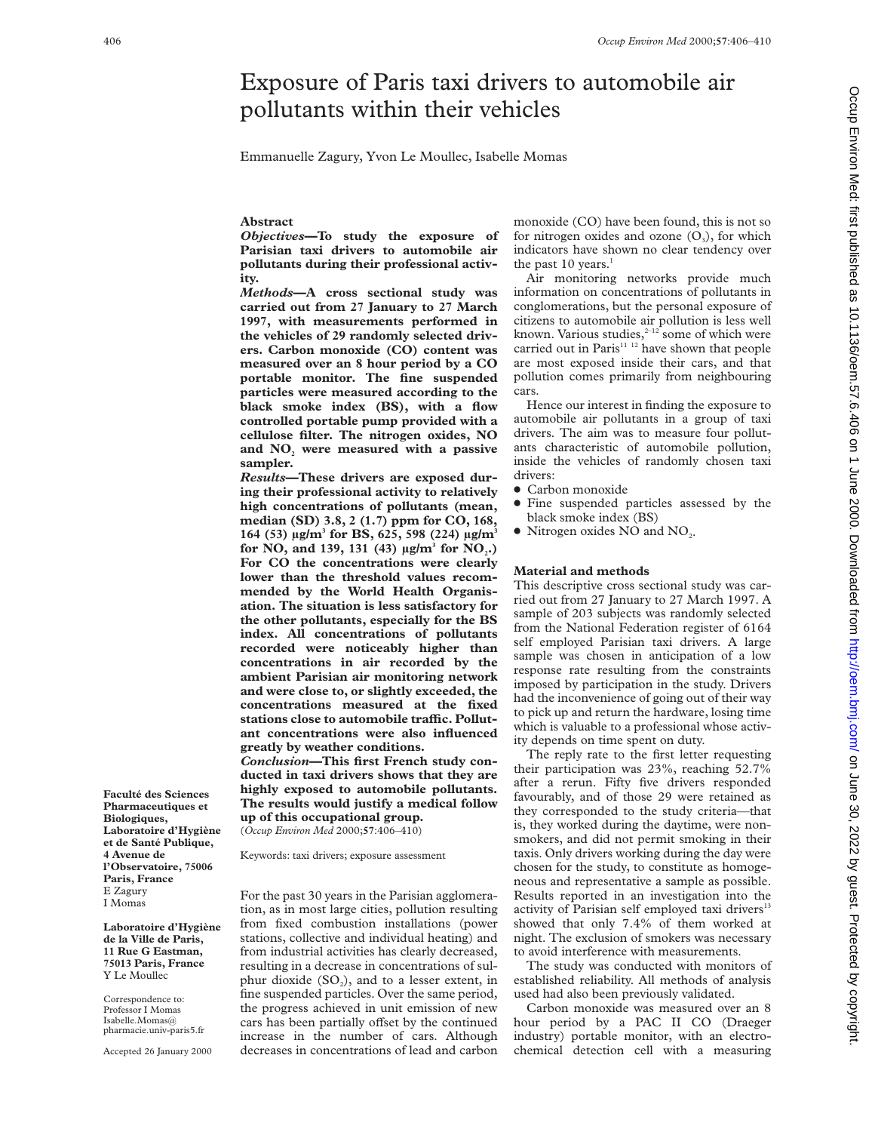# Exposure of Paris taxi drivers to automobile air pollutants within their vehicles

Emmanuelle Zagury, Yvon Le Moullec, Isabelle Momas

#### **Abstract**

*Objectives***—To study the exposure of Parisian taxi drivers to automobile air pollutants during their professional activity.**

*Methods***—A cross sectional study was carried out from 27 January to 27 March 1997, with measurements performed in the vehicles of 29 randomly selected drivers. Carbon monoxide (CO) content was measured over an 8 hour period by a CO portable monitor. The fine suspended particles were measured according to the black smoke index (BS), with a flow controlled portable pump provided with a cellulose filter. The nitrogen oxides, NO** and NO<sub>2</sub> were measured with a passive **sampler.**

*Results***—These drivers are exposed during their professional activity to relatively high concentrations of pollutants (mean, median (SD) 3.8, 2 (1.7) ppm for CO, 168, 164 (53) µg/m3 for BS, 625, 598 (224) µg/m3 for NO, and 139, 131 (43) µg/m<sup>3</sup> <b>for NO**<sub>2</sub>.) **For CO the concentrations were clearly lower than the threshold values recommended by the World Health Organisation. The situation is less satisfactory for the other pollutants, especially for the BS index. All concentrations of pollutants recorded were noticeably higher than concentrations in air recorded by the ambient Parisian air monitoring network and were close to, or slightly exceeded, the concentrations measured at the fixed** stations close to automobile traffic. Pollut**ant concentrations were also influenced greatly by weather conditions.**

*Conclusion***—This first French study conducted in taxi drivers shows that they are highly exposed to automobile pollutants. The results would justify a medical follow up of this occupational group.**

(*Occup Environ Med* 2000;**57**:406–410)

Keywords: taxi drivers; exposure assessment

For the past 30 years in the Parisian agglomeration, as in most large cities, pollution resulting from fixed combustion installations (power stations, collective and individual heating) and from industrial activities has clearly decreased, resulting in a decrease in concentrations of sulphur dioxide  $(SO<sub>2</sub>)$ , and to a lesser extent, in fine suspended particles. Over the same period, the progress achieved in unit emission of new cars has been partially offset by the continued increase in the number of cars. Although decreases in concentrations of lead and carbon monoxide (CO) have been found, this is not so for nitrogen oxides and ozone  $(O_3)$ , for which indicators have shown no clear tendency over the past  $10$  years.<sup>1</sup>

Air monitoring networks provide much information on concentrations of pollutants in conglomerations, but the personal exposure of citizens to automobile air pollution is less well known. Various studies, $2-12$  some of which were carried out in Paris $11 12$  have shown that people are most exposed inside their cars, and that pollution comes primarily from neighbouring cars.

Hence our interest in finding the exposure to automobile air pollutants in a group of taxi drivers. The aim was to measure four pollutants characteristic of automobile pollution, inside the vehicles of randomly chosen taxi drivers:

- Carbon monoxide
- Fine suspended particles assessed by the black smoke index (BS)
- $\bullet$  Nitrogen oxides NO and NO<sub>2</sub>.

#### **Material and methods**

This descriptive cross sectional study was carried out from 27 January to 27 March 1997. A sample of 203 subjects was randomly selected from the National Federation register of 6164 self employed Parisian taxi drivers. A large sample was chosen in anticipation of a low response rate resulting from the constraints imposed by participation in the study. Drivers had the inconvenience of going out of their way to pick up and return the hardware, losing time which is valuable to a professional whose activity depends on time spent on duty.

The reply rate to the first letter requesting their participation was 23%, reaching 52.7% after a rerun. Fifty five drivers responded favourably, and of those 29 were retained as they corresponded to the study criteria—that is, they worked during the daytime, were nonsmokers, and did not permit smoking in their taxis. Only drivers working during the day were chosen for the study, to constitute as homogeneous and representative a sample as possible. Results reported in an investigation into the activity of Parisian self employed taxi drivers<sup>13</sup> showed that only 7.4% of them worked at night. The exclusion of smokers was necessary to avoid interference with measurements.

The study was conducted with monitors of established reliability. All methods of analysis used had also been previously validated.

Carbon monoxide was measured over an 8 hour period by a PAC II CO (Draeger industry) portable monitor, with an electrochemical detection cell with a measuring

**Faculté des Sciences Pharmaceutiques et Biologiques, Laboratoire d'Hygiène et de Santé Publique, 4 Avenue de l'Observatoire, 75006 Paris, France** E Zagury I Momas

**Laboratoire d'Hygiène de la Ville de Paris, 11 Rue G Eastman, 75013 Paris, France** Y Le Moullec

Correspondence to: Professor I Momas Isabelle.Momas@ pharmacie.univ-paris5.fr

Accepted 26 January 2000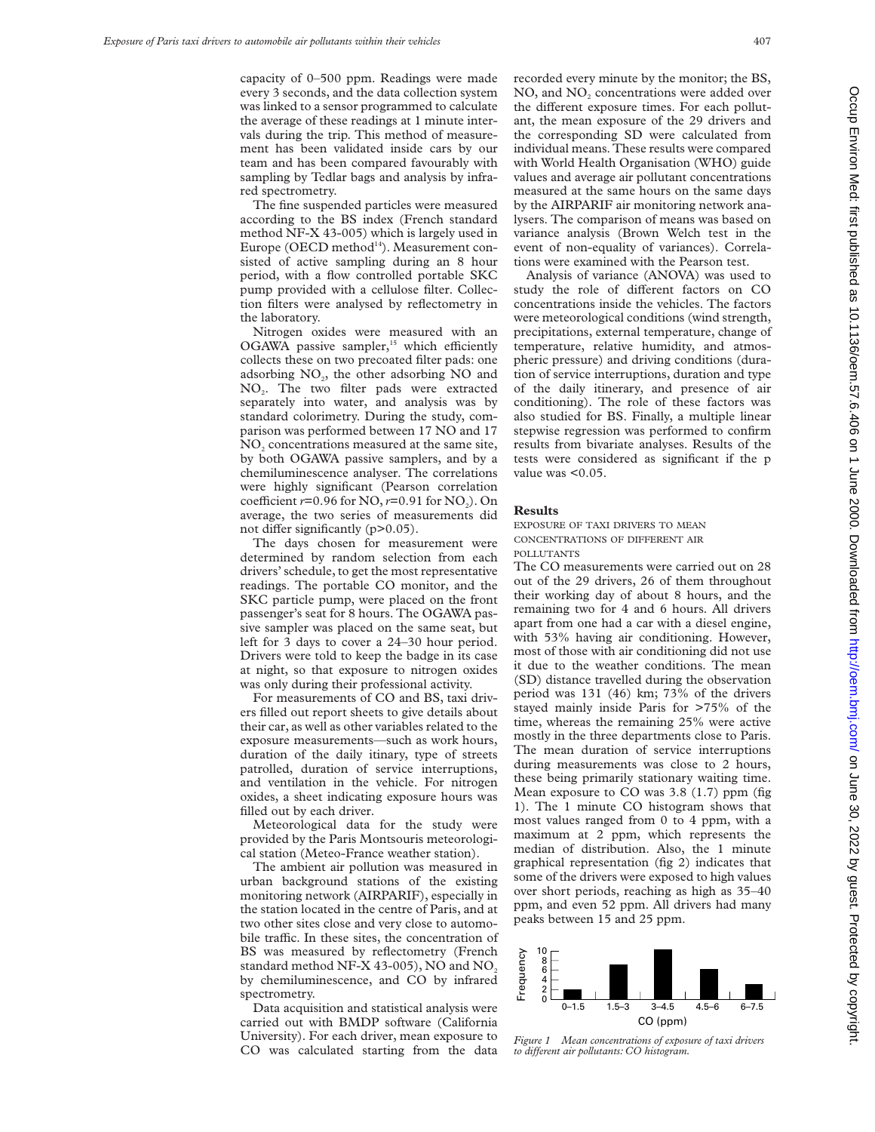capacity of 0–500 ppm. Readings were made every 3 seconds, and the data collection system was linked to a sensor programmed to calculate the average of these readings at 1 minute intervals during the trip. This method of measurement has been validated inside cars by our team and has been compared favourably with sampling by Tedlar bags and analysis by infrared spectrometry.

The fine suspended particles were measured according to the BS index (French standard method NF-X 43-005) which is largely used in Europe (OECD method $14$ ). Measurement consisted of active sampling during an 8 hour period, with a flow controlled portable SKC pump provided with a cellulose filter. Collection filters were analysed by reflectometry in the laboratory.

Nitrogen oxides were measured with an OGAWA passive sampler, $15$  which efficiently collects these on two precoated filter pads: one adsorbing  $NO<sub>2</sub>$ , the other adsorbing  $NO$  and NO2. The two filter pads were extracted separately into water, and analysis was by standard colorimetry. During the study, comparison was performed between 17 NO and 17 NO<sub>2</sub> concentrations measured at the same site, by both OGAWA passive samplers, and by a chemiluminescence analyser. The correlations were highly significant (Pearson correlation coefficient  $r=0.96$  for NO,  $r=0.91$  for NO<sub>2</sub>). On average, the two series of measurements did not differ significantly  $(p>0.05)$ .

The days chosen for measurement were determined by random selection from each drivers' schedule, to get the most representative readings. The portable CO monitor, and the SKC particle pump, were placed on the front passenger's seat for 8 hours. The OGAWA passive sampler was placed on the same seat, but left for 3 days to cover a 24–30 hour period. Drivers were told to keep the badge in its case at night, so that exposure to nitrogen oxides was only during their professional activity.

For measurements of CO and BS, taxi drivers filled out report sheets to give details about their car, as well as other variables related to the exposure measurements—such as work hours, duration of the daily itinary, type of streets patrolled, duration of service interruptions, and ventilation in the vehicle. For nitrogen oxides, a sheet indicating exposure hours was filled out by each driver.

Meteorological data for the study were provided by the Paris Montsouris meteorological station (Meteo-France weather station).

The ambient air pollution was measured in urban background stations of the existing monitoring network (AIRPARIF), especially in the station located in the centre of Paris, and at two other sites close and very close to automobile traffic. In these sites, the concentration of BS was measured by reflectometry (French standard method NF-X 43-005), NO and NO<sub>2</sub> by chemiluminescence, and CO by infrared spectrometry.

Data acquisition and statistical analysis were carried out with BMDP software (California University). For each driver, mean exposure to CO was calculated starting from the data recorded every minute by the monitor; the BS, NO, and NO<sub>2</sub> concentrations were added over the different exposure times. For each pollutant, the mean exposure of the 29 drivers and the corresponding SD were calculated from individual means. These results were compared with World Health Organisation (WHO) guide values and average air pollutant concentrations measured at the same hours on the same days by the AIRPARIF air monitoring network analysers. The comparison of means was based on variance analysis (Brown Welch test in the event of non-equality of variances). Correlations were examined with the Pearson test.

Analysis of variance (ANOVA) was used to study the role of different factors on CO concentrations inside the vehicles. The factors were meteorological conditions (wind strength, precipitations, external temperature, change of temperature, relative humidity, and atmospheric pressure) and driving conditions (duration of service interruptions, duration and type of the daily itinerary, and presence of air conditioning). The role of these factors was also studied for BS. Finally, a multiple linear stepwise regression was performed to confirm results from bivariate analyses. Results of the tests were considered as significant if the p value was <0.05.

#### **Results**

EXPOSURE OF TAXI DRIVERS TO MEAN CONCENTRATIONS OF DIFFERENT AIR POLLUTANTS

The CO measurements were carried out on 28 out of the 29 drivers, 26 of them throughout their working day of about 8 hours, and the remaining two for 4 and 6 hours. All drivers apart from one had a car with a diesel engine, with 53% having air conditioning. However, most of those with air conditioning did not use it due to the weather conditions. The mean (SD) distance travelled during the observation period was 131 (46) km; 73% of the drivers stayed mainly inside Paris for >75% of the time, whereas the remaining 25% were active mostly in the three departments close to Paris. The mean duration of service interruptions during measurements was close to 2 hours, these being primarily stationary waiting time. Mean exposure to CO was 3.8 (1.7) ppm (fig 1). The 1 minute CO histogram shows that most values ranged from 0 to 4 ppm, with a maximum at 2 ppm, which represents the median of distribution. Also, the 1 minute graphical representation (fig 2) indicates that some of the drivers were exposed to high values over short periods, reaching as high as 35–40 ppm, and even 52 ppm. All drivers had many peaks between 15 and 25 ppm.



*Figure 1 Mean concentrations of exposure of taxi drivers to diVerent air pollutants: CO histogram.*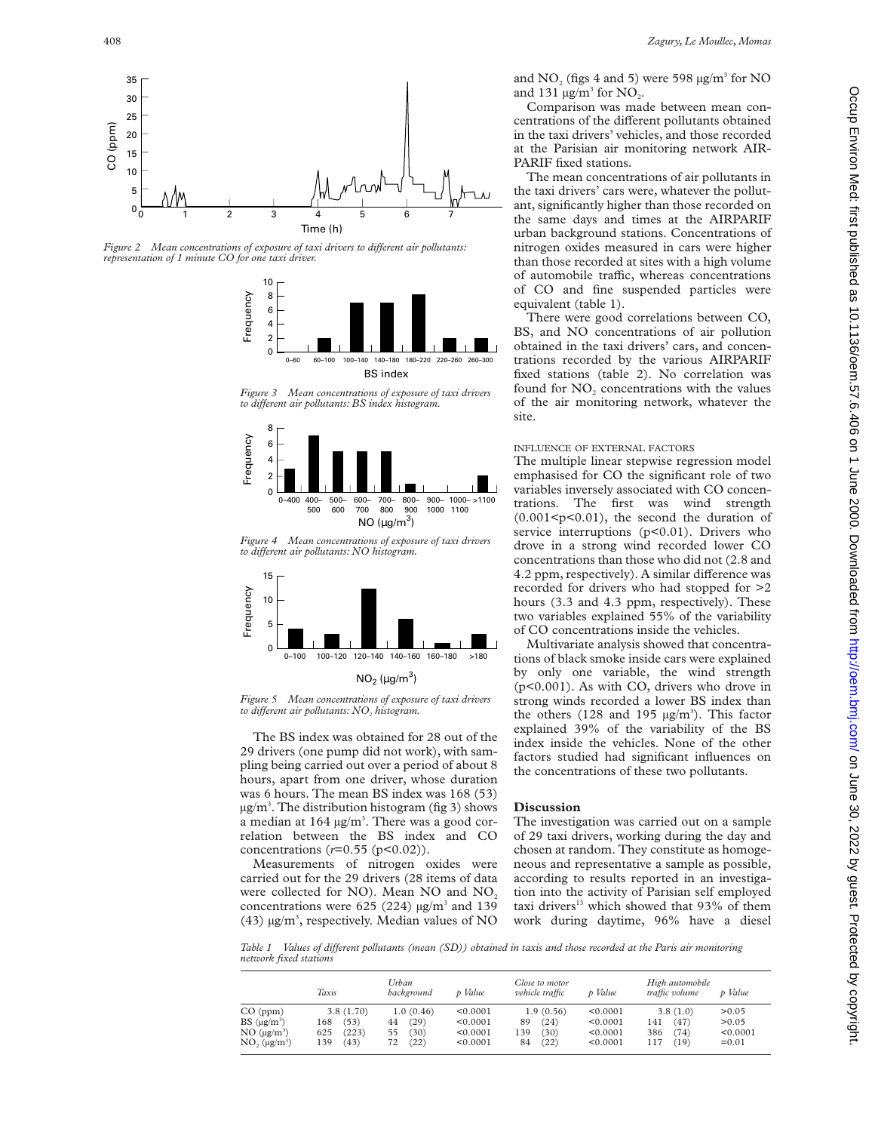

Comparison was made between mean concentrations of the different pollutants obtained in the taxi drivers' vehicles, and those recorded at the Parisian air monitoring network AIR-PARIF fixed stations.

The mean concentrations of air pollutants in the taxi drivers' cars were, whatever the pollutant, significantly higher than those recorded on the same days and times at the AIRPARIF urban background stations. Concentrations of nitrogen oxides measured in cars were higher than those recorded at sites with a high volume of automobile traffic, whereas concentrations of CO and fine suspended particles were equivalent (table 1).

There were good correlations between CO, BS, and NO concentrations of air pollution obtained in the taxi drivers' cars, and concentrations recorded by the various AIRPARIF fixed stations (table 2). No correlation was found for NO<sub>2</sub> concentrations with the values of the air monitoring network, whatever the site.

#### INFLUENCE OF EXTERNAL FACTORS

The multiple linear stepwise regression model emphasised for CO the significant role of two variables inversely associated with CO concentrations. The first was wind strength  $(0.001 \le p \le 0.01)$ , the second the duration of service interruptions  $(p<0.01)$ . Drivers who drove in a strong wind recorded lower CO concentrations than those who did not (2.8 and 4.2 ppm, respectively). A similar difference was recorded for drivers who had stopped for >2 hours (3.3 and 4.3 ppm, respectively). These two variables explained 55% of the variability of CO concentrations inside the vehicles.

Multivariate analysis showed that concentrations of black smoke inside cars were explained by only one variable, the wind strength (p<0.001). As with CO, drivers who drove in strong winds recorded a lower BS index than the others (128 and 195  $\mu$ g/m<sup>3</sup>). This factor explained 39% of the variability of the BS index inside the vehicles. None of the other factors studied had significant influences on the concentrations of these two pollutants.

### **Discussion**

The investigation was carried out on a sample of 29 taxi drivers, working during the day and chosen at random. They constitute as homogeneous and representative a sample as possible, according to results reported in an investigation into the activity of Parisian self employed taxi drivers<sup>13</sup> which showed that 93% of them work during daytime, 96% have a diesel

*Table 1 Values of diVerent pollutants (mean (SD)) obtained in taxis and those recorded at the Paris air monitoring network fixed stations*

|                                                                                   | Taxis                                                   | Urban<br>background                                  | p Value                                      | Close to motor<br>vehicle traffic                    | p Value                                      | High automobile<br>traffic volume                     | p Value                                |
|-----------------------------------------------------------------------------------|---------------------------------------------------------|------------------------------------------------------|----------------------------------------------|------------------------------------------------------|----------------------------------------------|-------------------------------------------------------|----------------------------------------|
| $CO$ (ppm)<br>$BS(\mu g/m^3)$<br>$NO \ (\mu g/m^3)$<br>$NO2$ (µg/m <sup>3</sup> ) | 3.8(1.70)<br>(53)<br>168<br>(223)<br>625<br>(43)<br>139 | 1.0(0.46)<br>(29)<br>44<br>(30)<br>55.<br>(22)<br>72 | < 0.0001<br>< 0.0001<br>< 0.0001<br>< 0.0001 | 1.9(0.56)<br>(24)<br>89<br>(30)<br>139<br>(22)<br>84 | < 0.0001<br>< 0.0001<br>< 0.0001<br>< 0.0001 | 3.8(1.0)<br>(47)<br>141<br>386<br>(74)<br>117<br>(19) | >0.05<br>> 0.05<br>< 0.0001<br>$=0.01$ |

10

Time (h)

*Figure 2* Mean concentrations of exposure of taxi drivers to different air pollutants:

*representation of 1 minute CO for one taxi driver.*

0 1 2 3



4 5 6 7

*Figure 3 Mean concentrations of exposure of taxi drivers to diVerent air pollutants: BS index histogram.*



*Figure 4 Mean concentrations of exposure of taxi drivers to diVerent air pollutants: NO histogram.*



## $NO_2$  (µg/m<sup>3</sup>)

*Figure 5 Mean concentrations of exposure of taxi drivers to different air pollutants: NO<sub>2</sub> histogram.* 

The BS index was obtained for 28 out of the 29 drivers (one pump did not work), with sampling being carried out over a period of about 8 hours, apart from one driver, whose duration was 6 hours. The mean BS index was 168 (53)  $\mu$ g/m<sup>3</sup>. The distribution histogram (fig 3) shows a median at  $164 \mu g/m<sup>3</sup>$ . There was a good correlation between the BS index and CO concentrations ( $r=0.55$  ( $p<0.02$ )).

Measurements of nitrogen oxides were carried out for the 29 drivers (28 items of data were collected for NO). Mean NO and NO<sub>2</sub> concentrations were 625 (224)  $\mu$ g/m<sup>3</sup> and 139 (43)  $\mu$ g/m<sup>3</sup>, respectively. Median values of NO

35 30

20 25

CO (ppm)

15 10

> 0 5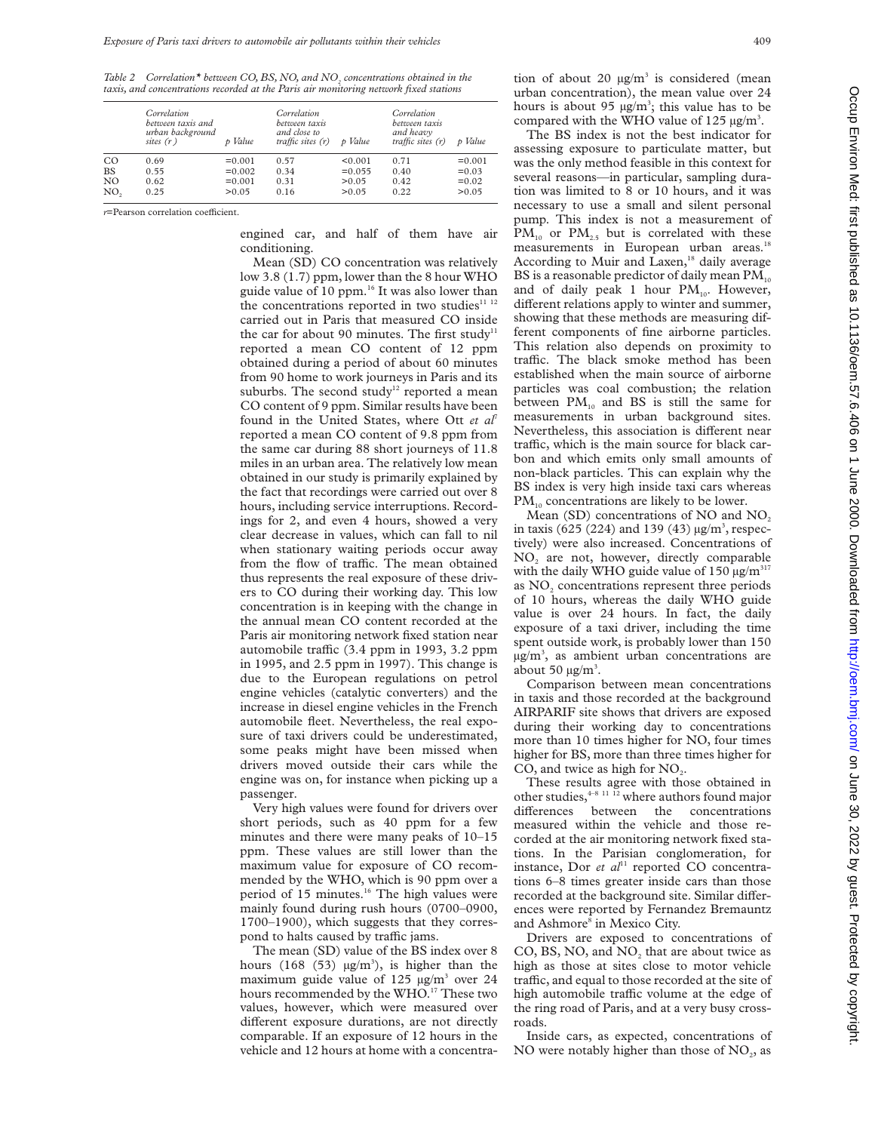Table 2 Correlation<sup>\*</sup> between CO, BS, NO, and NO<sub>2</sub> concentrations obtained in the *taxis, and concentrations recorded at the Paris air monitoring network fixed stations*

|                | Correlation<br>between taxis and<br>urban background<br>sites $(r)$ | p Value  | Correlation<br>between taxis<br>and close to<br>traffic sites $(r)$ | p Value   | Correlation<br>between taxis<br>and heavy<br>traffic sites $(r)$ | p Value  |
|----------------|---------------------------------------------------------------------|----------|---------------------------------------------------------------------|-----------|------------------------------------------------------------------|----------|
| <sub>CO</sub>  | 0.69                                                                | $=0.001$ | 0.57                                                                | < 0.001   | 0.71                                                             | $=0.001$ |
| <b>BS</b>      | 0.55                                                                | $=0.002$ | 0.34                                                                | $= 0.055$ | 0.40                                                             | $= 0.03$ |
| N <sub>O</sub> | 0.62                                                                | $=0.001$ | 0.31                                                                | >0.05     | 0.42                                                             | $=0.02$  |
| NO,            | 0.25                                                                | > 0.05   | 0.16                                                                | > 0.05    | 0.22                                                             | > 0.05   |

*r*=Pearson correlation coefficient.

engined car, and half of them have air conditioning.

Mean (SD) CO concentration was relatively low 3.8 (1.7) ppm, lower than the 8 hour WHO guide value of 10 ppm.<sup>16</sup> It was also lower than the concentrations reported in two studies $11^{12}$ carried out in Paris that measured CO inside the car for about 90 minutes. The first study<sup>11</sup> reported a mean CO content of 12 ppm obtained during a period of about 60 minutes from 90 home to work journeys in Paris and its suburbs. The second study<sup>12</sup> reported a mean CO content of 9 ppm. Similar results have been found in the United States, where Ott *et al*<sup>7</sup> reported a mean CO content of 9.8 ppm from the same car during 88 short journeys of 11.8 miles in an urban area. The relatively low mean obtained in our study is primarily explained by the fact that recordings were carried out over 8 hours, including service interruptions. Recordings for 2, and even 4 hours, showed a very clear decrease in values, which can fall to nil when stationary waiting periods occur away from the flow of traffic. The mean obtained thus represents the real exposure of these drivers to CO during their working day. This low concentration is in keeping with the change in the annual mean CO content recorded at the Paris air monitoring network fixed station near automobile traffic (3.4 ppm in 1993, 3.2 ppm in 1995, and 2.5 ppm in 1997). This change is due to the European regulations on petrol engine vehicles (catalytic converters) and the increase in diesel engine vehicles in the French automobile fleet. Nevertheless, the real exposure of taxi drivers could be underestimated, some peaks might have been missed when drivers moved outside their cars while the engine was on, for instance when picking up a passenger.

Very high values were found for drivers over short periods, such as 40 ppm for a few minutes and there were many peaks of 10–15 ppm. These values are still lower than the maximum value for exposure of CO recommended by the WHO, which is 90 ppm over a period of 15 minutes.<sup>16</sup> The high values were mainly found during rush hours (0700–0900, 1700–1900), which suggests that they correspond to halts caused by traffic jams.

The mean (SD) value of the BS index over 8 hours (168 (53)  $\mu$ g/m<sup>3</sup>), is higher than the maximum guide value of 125  $\mu$ g/m<sup>3</sup> over 24 hours recommended by the WHO.<sup>17</sup> These two values, however, which were measured over different exposure durations, are not directly comparable. If an exposure of 12 hours in the vehicle and 12 hours at home with a concentration of about 20  $\mu$ g/m<sup>3</sup> is considered (mean urban concentration), the mean value over 24 hours is about 95  $\mu$ g/m<sup>3</sup>; this value has to be compared with the WHO value of 125  $\mu$ g/m<sup>3</sup>.

The BS index is not the best indicator for assessing exposure to particulate matter, but was the only method feasible in this context for several reasons—in particular, sampling duration was limited to 8 or 10 hours, and it was necessary to use a small and silent personal pump. This index is not a measurement of  $PM_{10}$  or  $PM_{2.5}$  but is correlated with these measurements in European urban areas.<sup>18</sup> According to Muir and Laxen, $18$  daily average BS is a reasonable predictor of daily mean  $PM_{10}$ and of daily peak 1 hour  $PM_{10}$ . However, different relations apply to winter and summer, showing that these methods are measuring different components of fine airborne particles. This relation also depends on proximity to traffic. The black smoke method has been established when the main source of airborne particles was coal combustion; the relation between  $PM_{10}$  and BS is still the same for measurements in urban background sites. Nevertheless, this association is different near traffic, which is the main source for black carbon and which emits only small amounts of non-black particles. This can explain why the BS index is very high inside taxi cars whereas  $PM_{10}$  concentrations are likely to be lower.

Mean (SD) concentrations of NO and NO<sub>2</sub> in taxis (625 (224) and 139 (43)  $\mu$ g/m<sup>3</sup>, respectively) were also increased. Concentrations of NO2 are not, however, directly comparable with the daily WHO guide value of 150  $\mu$ g/m<sup>317</sup> as NO<sub>2</sub> concentrations represent three periods of 10 hours, whereas the daily WHO guide value is over 24 hours. In fact, the daily exposure of a taxi driver, including the time spent outside work, is probably lower than 150  $\mu$ g/m<sup>3</sup>, as ambient urban concentrations are about 50  $\mu$ g/m<sup>3</sup>.

Comparison between mean concentrations in taxis and those recorded at the background AIRPARIF site shows that drivers are exposed during their working day to concentrations more than 10 times higher for NO, four times higher for BS, more than three times higher for CO, and twice as high for  $NO<sub>2</sub>$ .

These results agree with those obtained in other studies,  $4-8$  11  $\overline{12}$  where authors found major differences between the concentrations measured within the vehicle and those recorded at the air monitoring network fixed stations. In the Parisian conglomeration, for instance, Dor *et al*<sup>11</sup> reported CO concentrations 6–8 times greater inside cars than those recorded at the background site. Similar differences were reported by Fernandez Bremauntz and Ashmore<sup>8</sup> in Mexico City.

Drivers are exposed to concentrations of CO, BS, NO, and  $NO<sub>2</sub>$  that are about twice as high as those at sites close to motor vehicle traffic, and equal to those recorded at the site of high automobile traffic volume at the edge of the ring road of Paris, and at a very busy crossroads.

Inside cars, as expected, concentrations of NO were notably higher than those of  $NO<sub>2</sub>$ , as